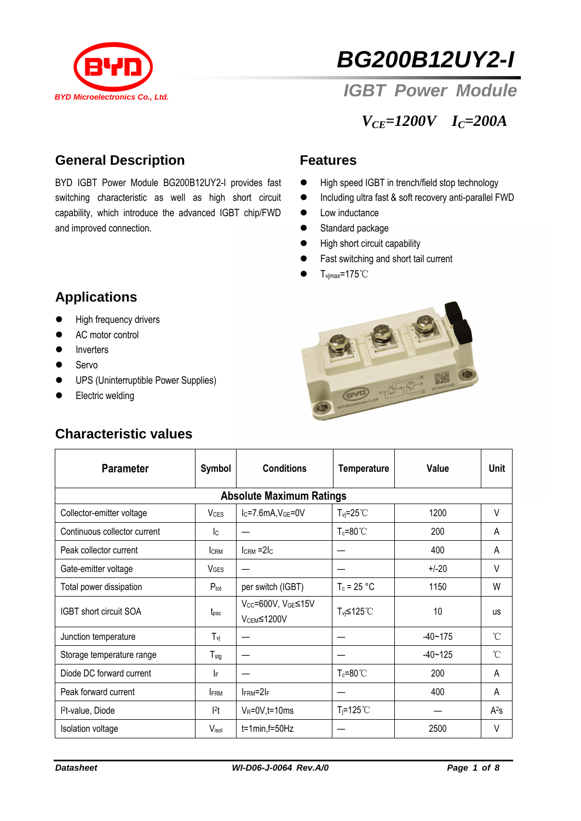



*IGBT Power Module*

*VCE=1200V IC=200A*

## **General Description**

BYD IGBT Power Module BG200B12UY2-I provides fast switching characteristic as well as high short circuit capability, which introduce the advanced IGBT chip/FWD and improved connection.

#### **Features**

- High speed IGBT in trench/field stop technology
- Including ultra fast & soft recovery anti-parallel FWD
- Low inductance
- **Standard package**
- $\bullet$  High short circuit capability
- Fast switching and short tail current
- $\bullet$  T<sub>vjmax</sub>=175°C



- **•** High frequency drivers
- AC motor control
- **•** Inverters
- **Servo**
- **•** UPS (Uninterruptible Power Supplies)
- **Electric welding**

#### **Characteristic values**



| <b>Parameter</b>                | Symbol                    | <b>Conditions</b>                            | <b>Temperature</b>    | Value       | Unit      |  |  |  |  |
|---------------------------------|---------------------------|----------------------------------------------|-----------------------|-------------|-----------|--|--|--|--|
| <b>Absolute Maximum Ratings</b> |                           |                                              |                       |             |           |  |  |  |  |
| Collector-emitter voltage       | <b>V<sub>CES</sub></b>    | $IC=7.6mA, VGE=0V$                           | $T_{\text{vi}}$ =25°C | 1200        | V         |  |  |  |  |
| Continuous collector current    | $\mathsf{I}_{\mathsf{C}}$ |                                              | $T_c = 80^{\circ}$ C  | 200         | A         |  |  |  |  |
| Peak collector current          | <b>CRM</b>                | $lcRM = 2lc$                                 |                       | 400         | A         |  |  |  |  |
| Gate-emitter voltage            | <b>V<sub>GES</sub></b>    |                                              |                       | $+/-20$     | V         |  |  |  |  |
| Total power dissipation         | $P_{\text{tot}}$          | per switch (IGBT)                            | $T_c = 25 °C$         | 1150        | W         |  |  |  |  |
| <b>IGBT</b> short circuit SOA   | t <sub>psc</sub>          | Vcc=600V, VGE≤15V<br>V <sub>CEM</sub> ≤1200V | T <sub>vj</sub> ≤125℃ | 10          | <b>US</b> |  |  |  |  |
| Junction temperature            | $T_{\rm{VI}}$             |                                              |                       | $-40 - 175$ | °C        |  |  |  |  |
| Storage temperature range       | $T_{\text{stg}}$          |                                              |                       | $-40 - 125$ | °C        |  |  |  |  |
| Diode DC forward current        | I۴                        |                                              | $T_c = 80^{\circ}$    | 200         | A         |  |  |  |  |
| Peak forward current            | <b>FRM</b>                | $I$ FRM= $2I$ F                              |                       | 400         | A         |  |  |  |  |
| l <sup>2</sup> t-value, Diode   | $ ^{2}t $                 | $V_R = 0V, t = 10ms$                         | $T_i = 125^{\circ}$ C |             | $A^2s$    |  |  |  |  |
| <b>Isolation voltage</b>        | Visol                     | $t=1$ min, $f=50$ Hz                         |                       | 2500        | $\vee$    |  |  |  |  |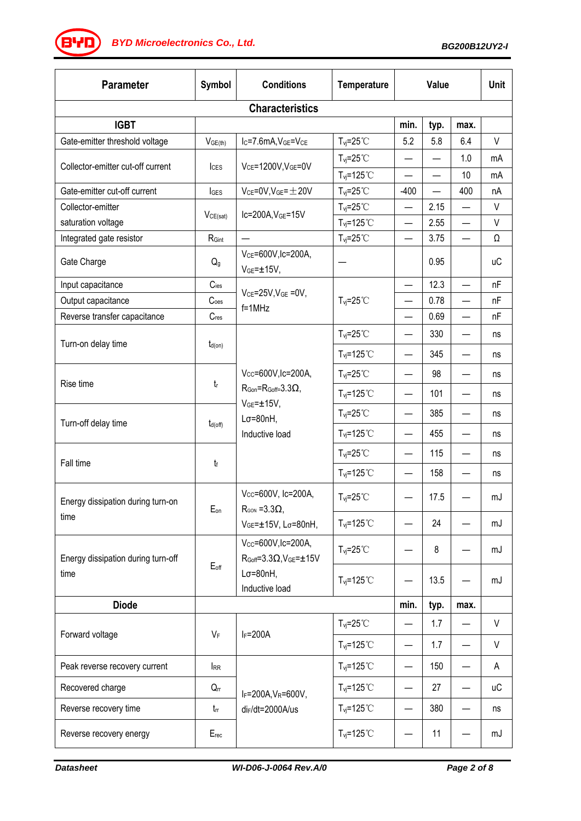*BG200B12UY2-I BYD Microelectronics Co., Ltd.*

| <b>Parameter</b>                           | Symbol           | <b>Conditions</b>                                                                                                             | Temperature                 | <b>Value</b>             |      |                          | <b>Unit</b> |  |  |
|--------------------------------------------|------------------|-------------------------------------------------------------------------------------------------------------------------------|-----------------------------|--------------------------|------|--------------------------|-------------|--|--|
| <b>Characteristics</b>                     |                  |                                                                                                                               |                             |                          |      |                          |             |  |  |
| <b>IGBT</b>                                |                  |                                                                                                                               |                             | min.                     | typ. | max.                     |             |  |  |
| Gate-emitter threshold voltage             | $V_{GE(th)}$     | Ic=7.6mA, VGE=VCE                                                                                                             | $T_{vj} = 25^{\circ}$ C     | 5.2                      | 5.8  | 6.4                      | $\vee$      |  |  |
| Collector-emitter cut-off current          | ICES             | $V_{CE}$ =1200V, $V_{GE}$ =0V                                                                                                 | $T_{\text{vj}}=25^{\circ}C$ | $\overline{\phantom{0}}$ |      | 1.0                      | mA          |  |  |
|                                            |                  |                                                                                                                               | $T_{vi} = 125^{\circ}$ C    |                          |      | 10                       | mA          |  |  |
| Gate-emitter cut-off current               | $I_{GES}$        | $V_{CE}$ =0V, $V_{GE}$ = $\pm$ 20V                                                                                            | $T_{vi} = 25^{\circ}$ C     | $-400$                   |      | 400                      | nA          |  |  |
| Collector-emitter                          | VCE(sat)         | Ic=200A, VGE=15V                                                                                                              | $T_{vi} = 25^{\circ}$ C     |                          | 2.15 |                          | $\vee$      |  |  |
| saturation voltage                         |                  |                                                                                                                               | $T_{vi} = 125^{\circ}$ C    |                          | 2.55 |                          | V           |  |  |
| Integrated gate resistor                   | $R_{Gint}$       |                                                                                                                               | $T_{\text{vj}}=25^{\circ}C$ | $\overline{\phantom{0}}$ | 3.75 |                          | Ω           |  |  |
| Gate Charge                                | $Q_{g}$          | V <sub>CE</sub> =600V, Ic=200A,<br>$VGE = ±15V,$                                                                              |                             |                          | 0.95 |                          | <b>uC</b>   |  |  |
| Input capacitance                          | $C_{\text{ies}}$ | $V_{CE} = 25V$ , $V_{GE} = 0V$ ,                                                                                              | $T_{\text{vj}}=25^{\circ}C$ | $\qquad \qquad \qquad$   | 12.3 |                          | nF          |  |  |
| Output capacitance                         | C <sub>oes</sub> | $f = 1$ MHz                                                                                                                   |                             |                          | 0.78 |                          | nF          |  |  |
| Reverse transfer capacitance               | $C_{res}$        |                                                                                                                               |                             | $\qquad \qquad$          | 0.69 | $\overline{\phantom{0}}$ | nF          |  |  |
| Turn-on delay time                         |                  |                                                                                                                               | $T_{\text{vj}}=25^{\circ}C$ | $\overline{\phantom{0}}$ | 330  |                          | ns          |  |  |
|                                            | $t_{d(on)}$      |                                                                                                                               | $T_{\text{vj}}$ =125°C      | $\overline{\phantom{0}}$ | 345  |                          | ns          |  |  |
| Rise time                                  | t                | Vcc=600V,lc=200A,<br>$R_{\text{Gon}} = R_{\text{Goff}} = 3.3 \Omega$<br>$VGE = ±15V,$<br>$L\sigma = 80nH$ ,<br>Inductive load | $T_{vi} = 25^{\circ}$ C     |                          | 98   |                          | ns          |  |  |
|                                            |                  |                                                                                                                               | $T_{vi} = 125^{\circ}$ C    |                          | 101  |                          | ns          |  |  |
| Turn-off delay time                        | $t_{d(off)}$     |                                                                                                                               | $T_{\text{vj}}=25^{\circ}C$ |                          | 385  |                          | ns          |  |  |
|                                            |                  |                                                                                                                               | $T_{\text{vj}}$ =125°C      |                          | 455  |                          | ns          |  |  |
| Fall time                                  | $t_{\rm f}$      |                                                                                                                               | $T_{vi} = 25^{\circ}$ C     | —                        | 115  |                          | ns          |  |  |
|                                            |                  |                                                                                                                               | $T_{vi} = 125^{\circ}$ C    | $\overline{\phantom{0}}$ | 158  |                          | ns          |  |  |
| Energy dissipation during turn-on          | $E_{on}$         | Vcc=600V, Ic=200A,<br>$R_{\text{GON}} = 3.3 \Omega$<br>VGE=±15V, Lσ=80nH,                                                     | $T_{\text{vj}}=25^{\circ}C$ |                          | 17.5 |                          | mJ          |  |  |
| time                                       |                  |                                                                                                                               | $T_{\text{vj}}$ =125°C      |                          | 24   |                          | mJ          |  |  |
| Energy dissipation during turn-off<br>time | $E_{off}$        | Vcc=600V, Ic=200A,<br>$R_{Goff} = 3.3 \Omega, V_{GE} = \pm 15 V$<br>$L\sigma = 80nH$ ,<br>Inductive load                      | $T_{\text{vj}}=25^{\circ}C$ |                          | 8    |                          | mJ          |  |  |
|                                            |                  |                                                                                                                               | $T_{\text{vj}}$ =125°C      |                          | 13.5 |                          | mJ          |  |  |
| <b>Diode</b>                               | min.             |                                                                                                                               |                             |                          |      | max.                     |             |  |  |
|                                            | VF               | $I_F = 200A$                                                                                                                  | $T_{vi} = 25^{\circ}$ C     | $\qquad \qquad \qquad$   | 1.7  |                          | V           |  |  |
| Forward voltage                            |                  |                                                                                                                               | $T_{\text{vj}}$ =125°C      |                          | 1.7  |                          | $\vee$      |  |  |
| Peak reverse recovery current              | <b>IRR</b>       | IF=200A, VR=600V,<br>di <sub>F</sub> /dt=2000A/us                                                                             | $T_{\text{vj}}$ =125°C      | $\overline{\phantom{0}}$ | 150  |                          | A           |  |  |
| Recovered charge                           | $Q_{rr}$         |                                                                                                                               | $T_{\text{vj}}$ =125°C      |                          | 27   |                          | иC          |  |  |
| Reverse recovery time                      | $t_{rr}$         |                                                                                                                               | $T_{\text{vj}}$ =125°C      | —                        | 380  |                          | ns          |  |  |
| Reverse recovery energy                    | $E_{rec}$        |                                                                                                                               | $T_{vi} = 125^{\circ}$ C    |                          | 11   |                          | mJ          |  |  |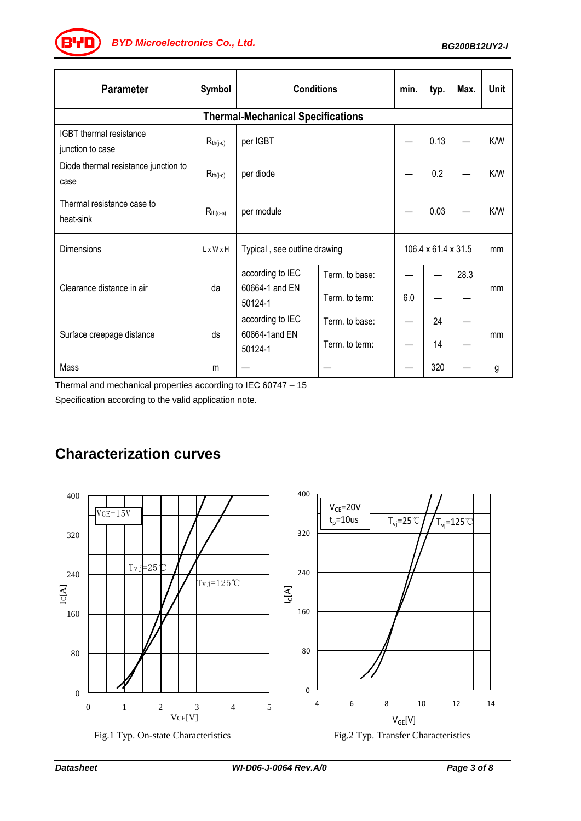*BG200B12UY2-I BYD Microelectronics Co., Ltd.*

| <b>Parameter</b>                             | Symbol        | <b>Conditions</b>                             |                | min.                | typ. | Max. | Unit |  |  |
|----------------------------------------------|---------------|-----------------------------------------------|----------------|---------------------|------|------|------|--|--|
| <b>Thermal-Mechanical Specifications</b>     |               |                                               |                |                     |      |      |      |  |  |
| IGBT thermal resistance<br>junction to case  | $R_{th(j-c)}$ | per IGBT                                      |                |                     | 0.13 |      | K/W  |  |  |
| Diode thermal resistance junction to<br>case | $R_{th(j-c)}$ | per diode                                     |                |                     | 0.2  |      | K/W  |  |  |
| Thermal resistance case to<br>heat-sink      | $R_{th(c-s)}$ | per module                                    |                |                     | 0.03 |      | K/W  |  |  |
| Dimensions                                   | LxWxH         | Typical, see outline drawing                  |                | 106.4 x 61.4 x 31.5 |      |      | mm   |  |  |
| Clearance distance in air                    | da            | according to IEC<br>60664-1 and EN<br>50124-1 | Term. to base: |                     |      | 28.3 | mm   |  |  |
|                                              |               |                                               | Term, to term: | 6.0                 |      |      |      |  |  |
| Surface creepage distance                    | ds            | according to IEC<br>60664-1and EN<br>50124-1  | Term. to base: |                     | 24   |      | mm   |  |  |
|                                              |               |                                               | Term. to term: |                     | 14   |      |      |  |  |
| Mass                                         | m             |                                               |                |                     | 320  |      | g    |  |  |

Thermal and mechanical properties according to IEC 60747 – 15

Specification according to the valid application note.



# **Characterization curves**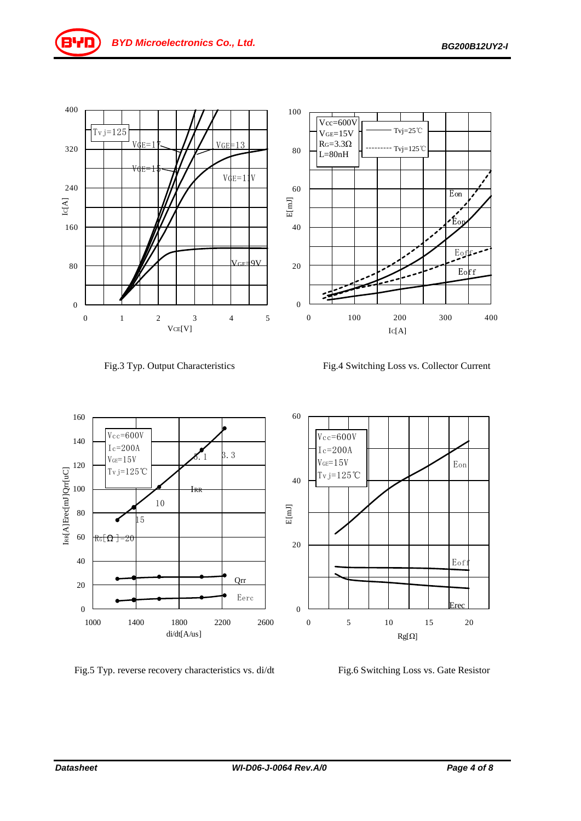Eon

 $\tilde{E}_0$ 

Eoff

Eoff



Fig.3 Typ. Output Characteristics Fig.4 Switching Loss vs. Collector Current

Tvj=25℃ Tvj=125℃



Fig.5 Typ. reverse recovery characteristics vs. di/dt Fig.6 Switching Loss vs. Gate Resistor

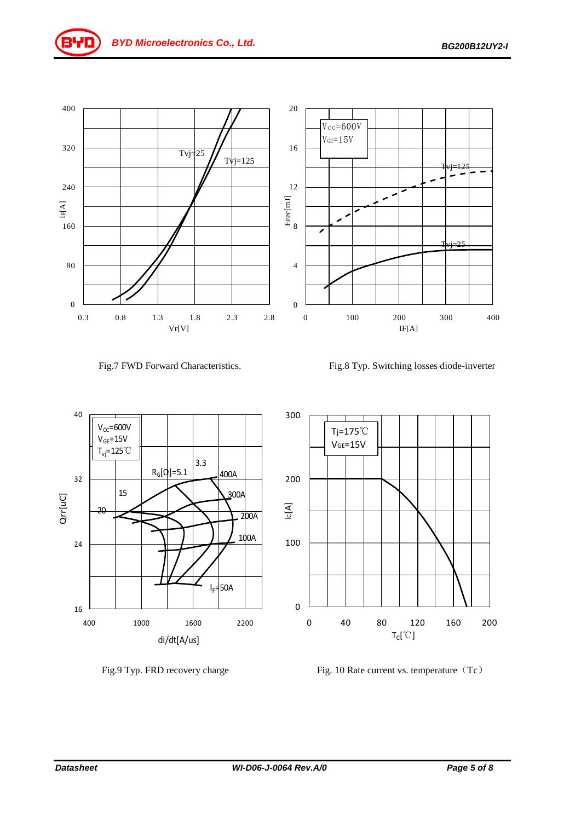



Fig.7 FWD Forward Characteristics. Fig.8 Typ. Switching losses diode-inverter







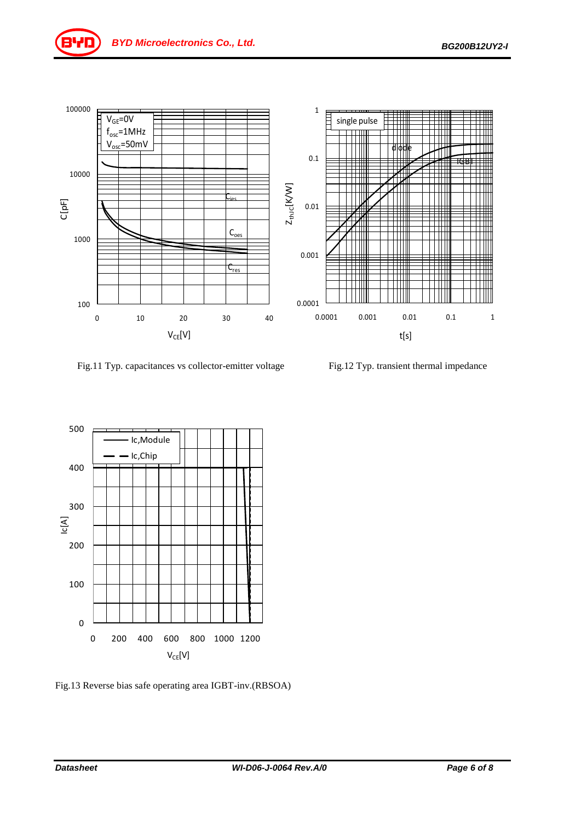

Fig.11 Typ. capacitances vs collector-emitter voltage Fig.12 Typ. transient thermal impedance



Fig.13 Reverse bias safe operating area IGBT-inv.(RBSOA)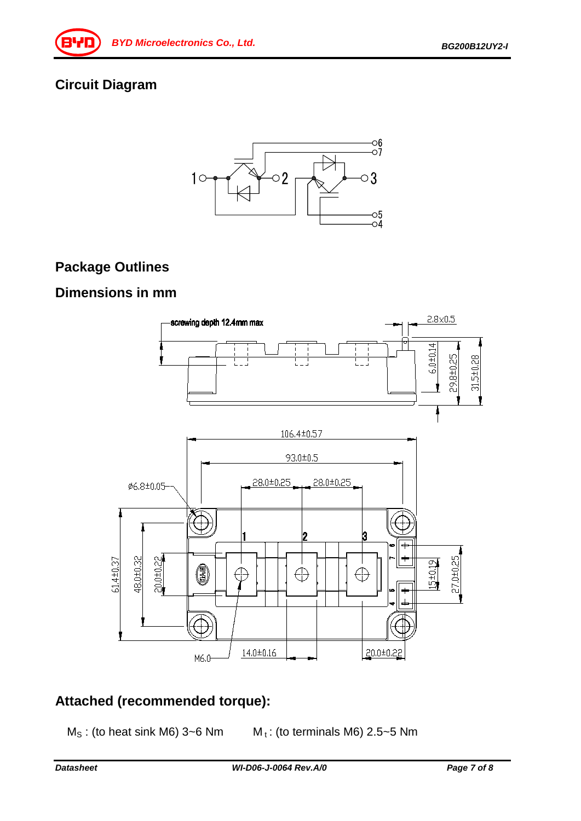# **Circuit Diagram**



# **Package Outlines**

### **Dimensions in mm**



# **Attached (recommended torque):**

- 
- $M<sub>S</sub>$ : (to heat sink M6) 3~6 Nm  $M<sub>t</sub>$ : (to terminals M6) 2.5~5 Nm